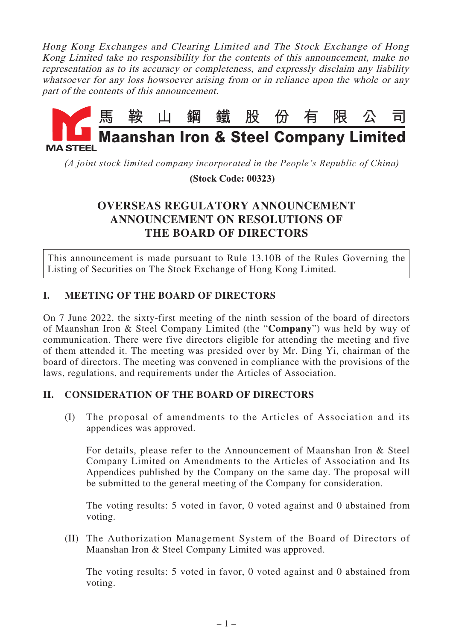Hong Kong Exchanges and Clearing Limited and The Stock Exchange of Hong Kong Limited take no responsibility for the contents of this announcement, make no representation as to its accuracy or completeness, and expressly disclaim any liability whatsoever for any loss howsoever arising from or in reliance upon the whole or any part of the contents of this announcement.



*(A joint stock limited company incorporated in the People's Republic of China)*

 **(Stock Code: 00323)**

## **OVERSEAS REGULATORY ANNOUNCEMENT ANNOUNCEMENT ON RESOLUTIONS OF THE BOARD OF DIRECTORS**

This announcement is made pursuant to Rule 13.10B of the Rules Governing the Listing of Securities on The Stock Exchange of Hong Kong Limited.

## **I. MEETING OF THE BOARD OF DIRECTORS**

On 7 June 2022, the sixty-first meeting of the ninth session of the board of directors of Maanshan Iron & Steel Company Limited (the "**Company**") was held by way of communication. There were five directors eligible for attending the meeting and five of them attended it. The meeting was presided over by Mr. Ding Yi, chairman of the board of directors. The meeting was convened in compliance with the provisions of the laws, regulations, and requirements under the Articles of Association.

## **II. CONSIDERATION OF THE BOARD OF DIRECTORS**

(I) The proposal of amendments to the Articles of Association and its appendices was approved.

For details, please refer to the Announcement of Maanshan Iron & Steel Company Limited on Amendments to the Articles of Association and Its Appendices published by the Company on the same day. The proposal will be submitted to the general meeting of the Company for consideration.

The voting results: 5 voted in favor, 0 voted against and 0 abstained from voting.

(II) The Authorization Management System of the Board of Directors of Maanshan Iron & Steel Company Limited was approved.

The voting results: 5 voted in favor, 0 voted against and 0 abstained from voting.